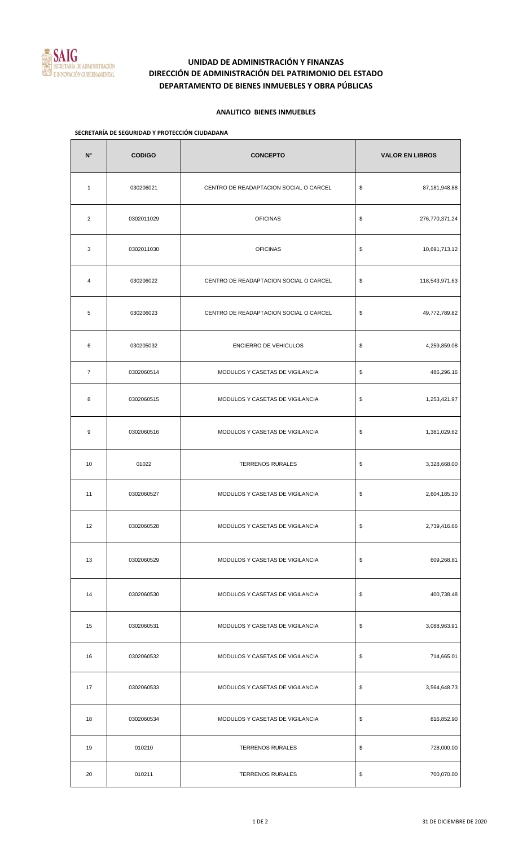

# **UNIDAD DE ADMINISTRACIÓN Y FINANZAS DIRECCIÓN DE ADMINISTRACIÓN DEL PATRIMONIO DEL ESTADO DEPARTAMENTO DE BIENES INMUEBLES Y OBRA PÚBLICAS**

### **ANALITICO BIENES INMUEBLES**

#### **SECRETARÍA DE SEGURIDAD Y PROTECCIÓN CIUDADANA**

| $N^{\circ}$    | <b>CODIGO</b> | <b>CONCEPTO</b>                        | <b>VALOR EN LIBROS</b> |
|----------------|---------------|----------------------------------------|------------------------|
| $\mathbf{1}$   | 030206021     | CENTRO DE READAPTACION SOCIAL O CARCEL | \$<br>87,181,948.88    |
| $\overline{2}$ | 0302011029    | <b>OFICINAS</b>                        | \$<br>276,770,371.24   |
| 3              | 0302011030    | <b>OFICINAS</b>                        | \$<br>10,691,713.12    |
| 4              | 030206022     | CENTRO DE READAPTACION SOCIAL O CARCEL | \$<br>118,543,971.63   |
| 5              | 030206023     | CENTRO DE READAPTACION SOCIAL O CARCEL | \$<br>49,772,789.82    |
| 6              | 030205032     | <b>ENCIERRO DE VEHICULOS</b>           | \$<br>4,259,859.08     |
| $\overline{7}$ | 0302060514    | MODULOS Y CASETAS DE VIGILANCIA        | \$<br>486,296.16       |
| 8              | 0302060515    | MODULOS Y CASETAS DE VIGILANCIA        | \$<br>1,253,421.97     |
| 9              | 0302060516    | MODULOS Y CASETAS DE VIGILANCIA        | \$<br>1,381,029.62     |
| 10             | 01022         | <b>TERRENOS RURALES</b>                | \$<br>3,328,668.00     |
| 11             | 0302060527    | MODULOS Y CASETAS DE VIGILANCIA        | \$<br>2,604,185.30     |
| 12             | 0302060528    | MODULOS Y CASETAS DE VIGILANCIA        | \$<br>2,739,416.66     |
| 13             | 0302060529    | MODULOS Y CASETAS DE VIGILANCIA        | \$<br>609,268.81       |
| 14             | 0302060530    | MODULOS Y CASETAS DE VIGILANCIA        | \$<br>400,738.48       |
| 15             | 0302060531    | MODULOS Y CASETAS DE VIGILANCIA        | \$<br>3,088,963.91     |
| 16             | 0302060532    | MODULOS Y CASETAS DE VIGILANCIA        | \$<br>714,665.01       |
| 17             | 0302060533    | MODULOS Y CASETAS DE VIGILANCIA        | \$<br>3,564,648.73     |
| 18             | 0302060534    | MODULOS Y CASETAS DE VIGILANCIA        | \$<br>816,852.90       |
| 19             | 010210        | <b>TERRENOS RURALES</b>                | \$<br>728,000.00       |
| 20             | 010211        | <b>TERRENOS RURALES</b>                | \$<br>700,070.00       |